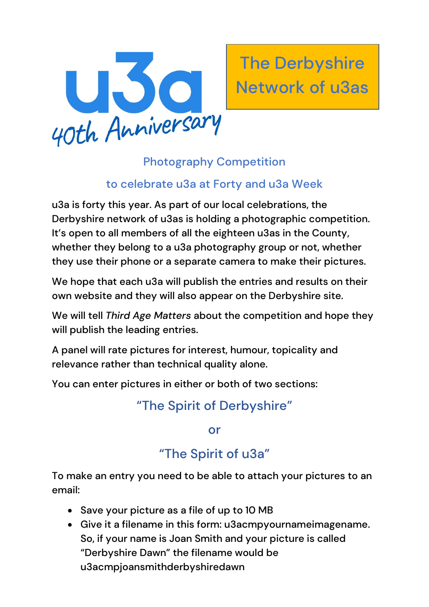

The Derbyshire Network of u3as

## Photography Competition

### to celebrate u3a at Forty and u3a Week

u3a is forty this year. As part of our local celebrations, the Derbyshire network of u3as is holding a photographic competition. It's open to all members of all the eighteen u3as in the County, whether they belong to a u3a photography group or not, whether they use their phone or a separate camera to make their pictures.

We hope that each u3a will publish the entries and results on their own website and they will also appear on the Derbyshire site.

We will tell *Third Age Matters* about the competition and hope they will publish the leading entries.

A panel will rate pictures for interest, humour, topicality and relevance rather than technical quality alone.

You can enter pictures in either or both of two sections:

# "The Spirit of Derbyshire"

#### or

# "The Spirit of u3a"

To make an entry you need to be able to attach your pictures to an email:

- Save your picture as a file of up to 10 MB
- Give it a filename in this form: u3acmpyournameimagename. So, if your name is Joan Smith and your picture is called "Derbyshire Dawn" the filename would be u3acmpjoansmithderbyshiredawn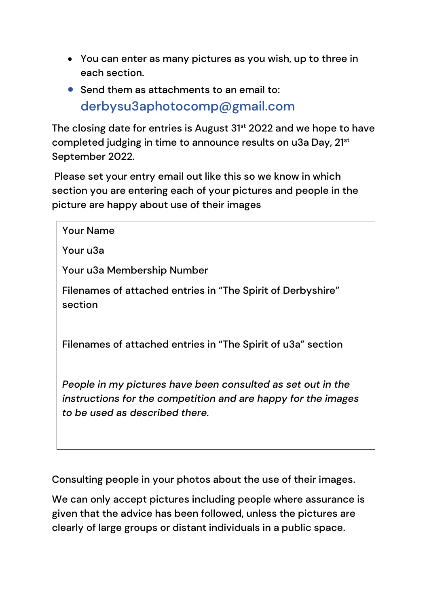- You can enter as many pictures as you wish, up to three in each section.
- Send them as attachments to an email to: derbysu3aphotocomp@gmail.com

The closing date for entries is August 31<sup>st</sup> 2022 and we hope to have completed judging in time to announce results on u3a Day, 21<sup>st</sup> September 2022.

Please set your entry email out like this so we know in which section you are entering each of your pictures and people in the picture are happy about use of their images

| <b>Your Name</b>                                                                                                                                               |
|----------------------------------------------------------------------------------------------------------------------------------------------------------------|
| Your u3a                                                                                                                                                       |
| Your u3a Membership Number                                                                                                                                     |
| Filenames of attached entries in "The Spirit of Derbyshire"<br>section                                                                                         |
| Filenames of attached entries in "The Spirit of u3a" section                                                                                                   |
| People in my pictures have been consulted as set out in the<br>instructions for the competition and are happy for the images<br>to be used as described there. |

Consulting people in your photos about the use of their images.

We can only accept pictures including people where assurance is given that the advice has been followed, unless the pictures are clearly of large groups or distant individuals in a public space.